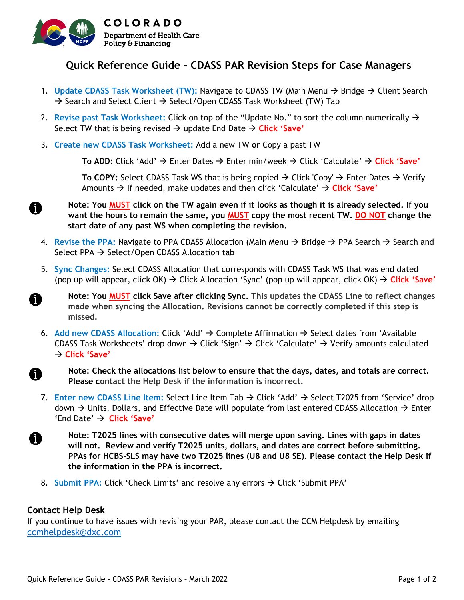

## **Quick Reference Guide - CDASS PAR Revision Steps for Case Managers**

- 1. Update CDASS Task Worksheet (TW): Navigate to CDASS TW (Main Menu → Bridge → Client Search  $\rightarrow$  Search and Select Client  $\rightarrow$  Select/Open CDASS Task Worksheet (TW) Tab
- 2. **Revise past Task Worksheet:** Click on top of the "Update No." to sort the column numerically Select TW that is being revised  $\rightarrow$  update End Date  $\rightarrow$  Click 'Save'
- 3. **Create new CDASS Task Worksheet:** Add a new TW **or** Copy a past TW

**To ADD:** Click 'Add' → Enter Dates → Enter min/week → Click 'Calculate' → Click 'Save'

**To COPY:** Select CDASS Task WS that is being copied  $\rightarrow$  Click 'Copy'  $\rightarrow$  Enter Dates  $\rightarrow$  Verify Amounts If needed, make updates and then click 'Calculate' **Click 'Save'**

- **Note: You MUST click on the TW again even if it looks as though it is already selected. If you want the hours to remain the same, you MUST copy the most recent TW. DO NOT change the start date of any past WS when completing the revision.**
- 4. Revise the PPA: Navigate to PPA CDASS Allocation (Main Menu → Bridge → PPA Search → Search and Select PPA  $\rightarrow$  Select/Open CDASS Allocation tab
- 5. **Sync Changes:** Select CDASS Allocation that corresponds with CDASS Task WS that was end dated (pop up will appear, click  $OK$ )  $\rightarrow$  Click Allocation 'Sync' (pop up will appear, click  $OK$ )  $\rightarrow$  Click 'Save'
	- **Note: You MUST click Save after clicking Sync. This updates the CDASS Line to reflect changes made when syncing the Allocation. Revisions cannot be correctly completed if this step is missed.**
- 6. Add new CDASS Allocation: Click 'Add' → Complete Affirmation → Select dates from 'Available CDASS Task Worksheets' drop down  $\rightarrow$  Click 'Sign'  $\rightarrow$  Click 'Calculate'  $\rightarrow$  Verify amounts calculated → Click 'Save'
	- **Note: Check the allocations list below to ensure that the days, dates, and totals are correct. Please contact the Help Desk if the information is incorrect.**
- 7. **Enter new CDASS Line Item: Select Line Item Tab**  $\rightarrow$  **Click 'Add'**  $\rightarrow$  **Select T2025 from 'Service' drop** down  $\rightarrow$  Units, Dollars, and Effective Date will populate from last entered CDASS Allocation  $\rightarrow$  Enter 'End Date' **Click 'Save'**
	- **Note: T2025 lines with consecutive dates will merge upon saving. Lines with gaps in dates will not. Review and verify T2025 units, dollars, and dates are correct before submitting. PPAs for HCBS-SLS may have two T2025 lines (U8 and U8 SE). Please contact the Help Desk if the information in the PPA is incorrect.**
- 8. **Submit PPA:** Click 'Check Limits' and resolve any errors  $\rightarrow$  Click 'Submit PPA'

## **Contact Help Desk**

A

69

A

ß

If you continue to have issues with revising your PAR, please contact the CCM Helpdesk by emailing [ccmhelpdesk@dxc.com](mailto:ccmhelpdesk@dxc.com)